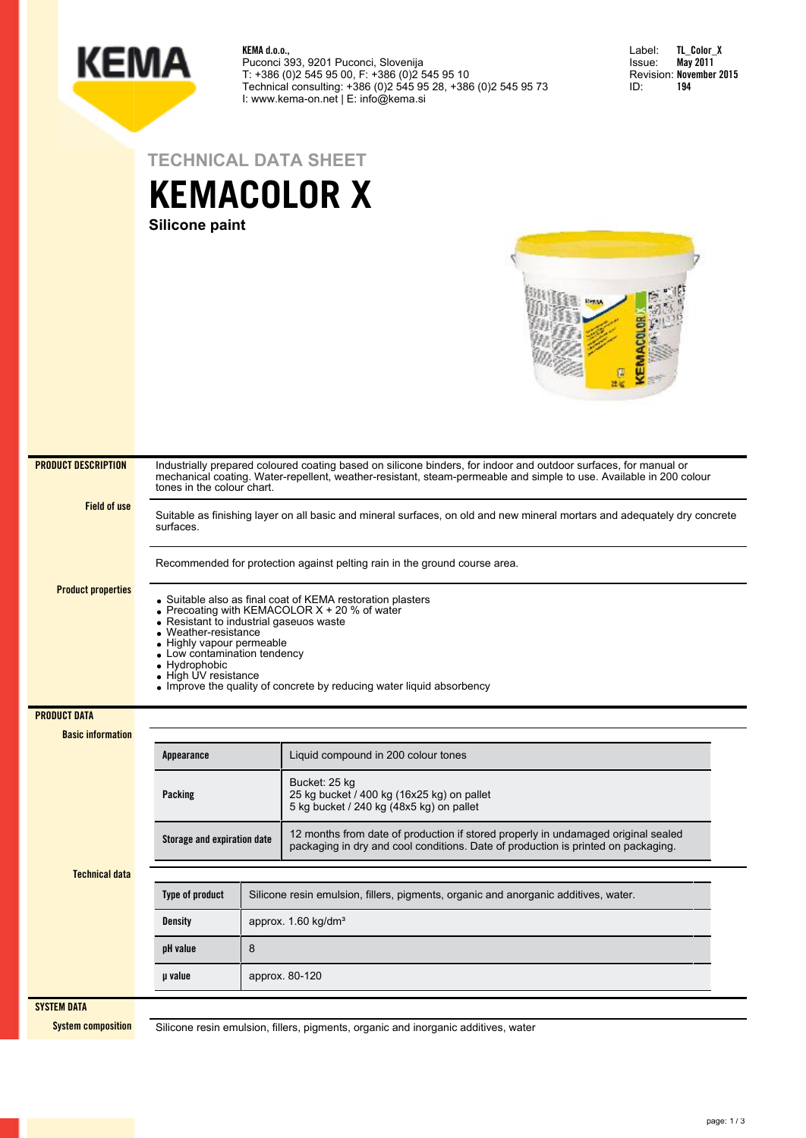

**KEMA d.o.o.,** Puconci 393, 9201 Puconci, Slovenija T: +386 (0)2 545 95 00, F: +386 (0)2 545 95 10 Technical consulting: +386 (0)2 545 95 28, +386 (0)2 545 95 73 I: www.kema-on.net | E: info@kema.si

| Label: | TL Color X              |
|--------|-------------------------|
| lssue: | May 2011                |
|        | Revision: November 2015 |
| ID:    | 194                     |

**TECHNICAL DATA SHEET**

## **KEMACOLOR X**

**Silicone paint**



| <b>PRODUCT DESCRIPTION</b> | Industrially prepared coloured coating based on silicone binders, for indoor and outdoor surfaces, for manual or<br>mechanical coating. Water-repellent, weather-resistant, steam-permeable and simple to use. Available in 200 colour<br>tones in the colour chart.                                                                                        |   |                                                                                                                                                                        |
|----------------------------|-------------------------------------------------------------------------------------------------------------------------------------------------------------------------------------------------------------------------------------------------------------------------------------------------------------------------------------------------------------|---|------------------------------------------------------------------------------------------------------------------------------------------------------------------------|
| <b>Field of use</b>        | Suitable as finishing layer on all basic and mineral surfaces, on old and new mineral mortars and adequately dry concrete<br>surfaces.                                                                                                                                                                                                                      |   |                                                                                                                                                                        |
|                            | Recommended for protection against pelting rain in the ground course area.                                                                                                                                                                                                                                                                                  |   |                                                                                                                                                                        |
| <b>Product properties</b>  | • Suitable also as final coat of KEMA restoration plasters<br>• Precoating with KEMACOLOR $X + 20$ % of water<br>• Resistant to industrial gaseuos waste<br>Weather-resistance<br>Highly vapour permeable<br>• Low contamination tendency<br>• Hydrophobic<br>• High UV resistance<br>• Improve the quality of concrete by reducing water liquid absorbency |   |                                                                                                                                                                        |
| <b>PRODUCT DATA</b>        |                                                                                                                                                                                                                                                                                                                                                             |   |                                                                                                                                                                        |
| <b>Basic information</b>   |                                                                                                                                                                                                                                                                                                                                                             |   |                                                                                                                                                                        |
|                            | Appearance                                                                                                                                                                                                                                                                                                                                                  |   | Liquid compound in 200 colour tones                                                                                                                                    |
|                            | Packing                                                                                                                                                                                                                                                                                                                                                     |   | Bucket: 25 kg<br>25 kg bucket / 400 kg (16x25 kg) on pallet<br>5 kg bucket / 240 kg (48x5 kg) on pallet                                                                |
|                            | Storage and expiration date                                                                                                                                                                                                                                                                                                                                 |   | 12 months from date of production if stored properly in undamaged original sealed<br>packaging in dry and cool conditions. Date of production is printed on packaging. |
| <b>Technical data</b>      |                                                                                                                                                                                                                                                                                                                                                             |   |                                                                                                                                                                        |
|                            | Type of product<br>Silicone resin emulsion, fillers, pigments, organic and anorganic additives, water.                                                                                                                                                                                                                                                      |   |                                                                                                                                                                        |
|                            | <b>Density</b>                                                                                                                                                                                                                                                                                                                                              |   | approx. 1.60 kg/dm <sup>3</sup>                                                                                                                                        |
|                            | pH value                                                                                                                                                                                                                                                                                                                                                    | 8 |                                                                                                                                                                        |
| µ value                    |                                                                                                                                                                                                                                                                                                                                                             |   | approx. 80-120                                                                                                                                                         |
| <b>SYSTEM DATA</b>         |                                                                                                                                                                                                                                                                                                                                                             |   |                                                                                                                                                                        |
| <b>System composition</b>  | Silicone resin emulsion, fillers, pigments, organic and inorganic additives, water                                                                                                                                                                                                                                                                          |   |                                                                                                                                                                        |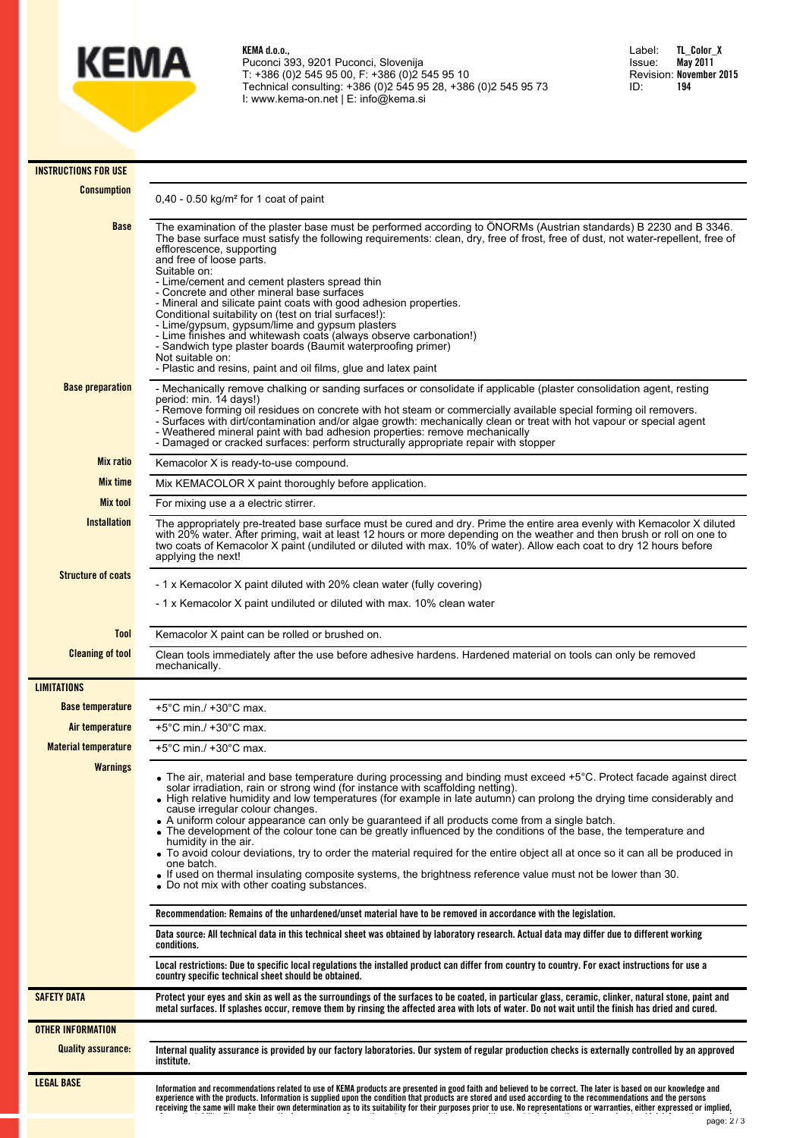

**KEMA d.o.o.,** Puconci 393, 9201 Puconci, Slovenija T: +386 (0)2 545 95 00, F: +386 (0)2 545 95 10 Technical consulting: +386 (0)2 545 95 28, +386 (0)2 545 95 73 I: www.kema-on.net | E: info@kema.si

| <b>INSTRUCTIONS FOR USE</b> |                                                                                                                                                                                                                                                                                                                                                                                                                                                                                                                                                                                                                                                                                                                                                                                                                                                                                                                                        |  |  |
|-----------------------------|----------------------------------------------------------------------------------------------------------------------------------------------------------------------------------------------------------------------------------------------------------------------------------------------------------------------------------------------------------------------------------------------------------------------------------------------------------------------------------------------------------------------------------------------------------------------------------------------------------------------------------------------------------------------------------------------------------------------------------------------------------------------------------------------------------------------------------------------------------------------------------------------------------------------------------------|--|--|
| <b>Consumption</b>          |                                                                                                                                                                                                                                                                                                                                                                                                                                                                                                                                                                                                                                                                                                                                                                                                                                                                                                                                        |  |  |
|                             | $0,40 - 0.50$ kg/m <sup>2</sup> for 1 coat of paint                                                                                                                                                                                                                                                                                                                                                                                                                                                                                                                                                                                                                                                                                                                                                                                                                                                                                    |  |  |
| <b>Base</b>                 | The examination of the plaster base must be performed according to ÖNORMs (Austrian standards) B 2230 and B 3346.<br>The base surface must satisfy the following requirements: clean, dry, free of frost, free of dust, not water-repellent, free of<br>efflorescence, supporting<br>and free of loose parts.<br>Suitable on:<br>- Lime/cement and cement plasters spread thin<br>- Concrete and other mineral base surfaces<br>- Mineral and silicate paint coats with good adhesion properties.<br>Conditional suitability on (test on trial surfaces!):<br>- Lime/gypsum, gypsum/lime and gypsum plasters<br>- Lime finishes and whitewash coats (always observe carbonation!)<br>- Sandwich type plaster boards (Baumit waterproofing primer)<br>Not suitable on:<br>- Plastic and resins, paint and oil films, glue and latex paint                                                                                               |  |  |
| <b>Base preparation</b>     | - Mechanically remove chalking or sanding surfaces or consolidate if applicable (plaster consolidation agent, resting<br>period: min. 14 days!)<br>- Remove forming oil residues on concrete with hot steam or commercially available special forming oil removers.<br>- Surfaces with dirt/contamination and/or algae growth: mechanically clean or treat with hot vapour or special agent<br>- Weathered mineral paint with bad adhesion properties: remove mechanically<br>- Damaged or cracked surfaces: perform structurally appropriate repair with stopper                                                                                                                                                                                                                                                                                                                                                                      |  |  |
| <b>Mix ratio</b>            | Kemacolor X is ready-to-use compound.                                                                                                                                                                                                                                                                                                                                                                                                                                                                                                                                                                                                                                                                                                                                                                                                                                                                                                  |  |  |
| <b>Mix time</b>             | Mix KEMACOLOR X paint thoroughly before application.                                                                                                                                                                                                                                                                                                                                                                                                                                                                                                                                                                                                                                                                                                                                                                                                                                                                                   |  |  |
| <b>Mix tool</b>             | For mixing use a a electric stirrer.                                                                                                                                                                                                                                                                                                                                                                                                                                                                                                                                                                                                                                                                                                                                                                                                                                                                                                   |  |  |
| <b>Installation</b>         | The appropriately pre-treated base surface must be cured and dry. Prime the entire area evenly with Kemacolor X diluted<br>with 20% water. After priming, wait at least 12 hours or more depending on the weather and then brush or roll on one to<br>two coats of Kemacolor X paint (undiluted or diluted with max. 10% of water). Allow each coat to dry 12 hours before<br>applying the next!                                                                                                                                                                                                                                                                                                                                                                                                                                                                                                                                       |  |  |
| <b>Structure of coats</b>   | - 1 x Kemacolor X paint diluted with 20% clean water (fully covering)                                                                                                                                                                                                                                                                                                                                                                                                                                                                                                                                                                                                                                                                                                                                                                                                                                                                  |  |  |
|                             | -1 x Kemacolor X paint undiluted or diluted with max. 10% clean water                                                                                                                                                                                                                                                                                                                                                                                                                                                                                                                                                                                                                                                                                                                                                                                                                                                                  |  |  |
| <b>Tool</b>                 | Kemacolor X paint can be rolled or brushed on.                                                                                                                                                                                                                                                                                                                                                                                                                                                                                                                                                                                                                                                                                                                                                                                                                                                                                         |  |  |
| <b>Cleaning of tool</b>     | Clean tools immediately after the use before adhesive hardens. Hardened material on tools can only be removed<br>mechanically.                                                                                                                                                                                                                                                                                                                                                                                                                                                                                                                                                                                                                                                                                                                                                                                                         |  |  |
| <b>LIMITATIONS</b>          |                                                                                                                                                                                                                                                                                                                                                                                                                                                                                                                                                                                                                                                                                                                                                                                                                                                                                                                                        |  |  |
| <b>Base temperature</b>     | +5°C min./ +30°C max.                                                                                                                                                                                                                                                                                                                                                                                                                                                                                                                                                                                                                                                                                                                                                                                                                                                                                                                  |  |  |
| Air temperature             | +5°C min./ +30°C max.                                                                                                                                                                                                                                                                                                                                                                                                                                                                                                                                                                                                                                                                                                                                                                                                                                                                                                                  |  |  |
| <b>Material temperature</b> | $+5^{\circ}$ C min./ $+30^{\circ}$ C max.                                                                                                                                                                                                                                                                                                                                                                                                                                                                                                                                                                                                                                                                                                                                                                                                                                                                                              |  |  |
| <b>Warnings</b>             | • The air, material and base temperature during processing and binding must exceed +5°C. Protect facade against direct<br>solar irradiation, rain or strong wind (for instance with scaffolding netting).<br>• High relative humidity and low temperatures (for example in late autumn) can prolong the drying time considerably and<br>cause irregular colour changes.<br>• A uniform colour appearance can only be guaranteed if all products come from a single batch.<br>• The development of the colour tone can be greatly influenced by the conditions of the base, the temperature and<br>humidity in the air.<br>• To avoid colour deviations, try to order the material required for the entire object all at once so it can all be produced in<br>one batch.<br>• If used on thermal insulating composite systems, the brightness reference value must not be lower than 30.<br>• Do not mix with other coating substances. |  |  |
|                             | Recommendation: Remains of the unhardened/unset material have to be removed in accordance with the legislation.                                                                                                                                                                                                                                                                                                                                                                                                                                                                                                                                                                                                                                                                                                                                                                                                                        |  |  |
|                             | Data source: All technical data in this technical sheet was obtained by laboratory research. Actual data may differ due to different working<br>conditions.                                                                                                                                                                                                                                                                                                                                                                                                                                                                                                                                                                                                                                                                                                                                                                            |  |  |
|                             | Local restrictions: Due to specific local regulations the installed product can differ from country to country. For exact instructions for use a<br>country specific technical sheet should be obtained.                                                                                                                                                                                                                                                                                                                                                                                                                                                                                                                                                                                                                                                                                                                               |  |  |
| <b>SAFETY DATA</b>          | Protect your eyes and skin as well as the surroundings of the surfaces to be coated, in particular glass, ceramic, clinker, natural stone, paint and<br>metal surfaces. If splashes occur, remove them by rinsing the affected area with lots of water. Do not wait until the finish has dried and cured.                                                                                                                                                                                                                                                                                                                                                                                                                                                                                                                                                                                                                              |  |  |
| <b>OTHER INFORMATION</b>    |                                                                                                                                                                                                                                                                                                                                                                                                                                                                                                                                                                                                                                                                                                                                                                                                                                                                                                                                        |  |  |
| <b>Quality assurance:</b>   | Internal quality assurance is provided by our factory laboratories. Our system of regular production checks is externally controlled by an approved<br>institute.                                                                                                                                                                                                                                                                                                                                                                                                                                                                                                                                                                                                                                                                                                                                                                      |  |  |
| <b>LEGAL BASE</b>           | Information and recommendations related to use of KEMA products are presented in good faith and believed to be correct. The later is based on our knowledge and                                                                                                                                                                                                                                                                                                                                                                                                                                                                                                                                                                                                                                                                                                                                                                        |  |  |